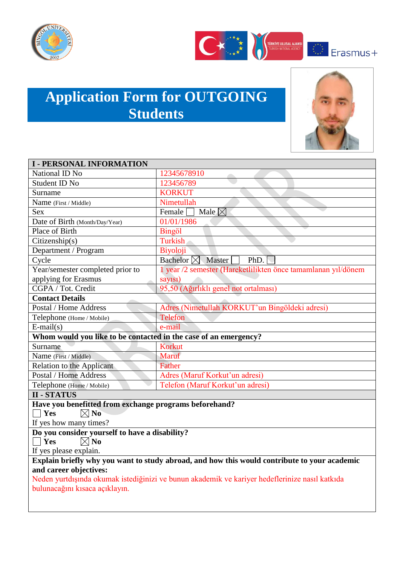



## **Application Form for OUTGOING Students**



| <b>I-PERSONAL INFORMATION</b>                                                                                    |                                                               |  |  |  |
|------------------------------------------------------------------------------------------------------------------|---------------------------------------------------------------|--|--|--|
| National ID No                                                                                                   | 12345678910                                                   |  |  |  |
| Student ID No                                                                                                    | 123456789                                                     |  |  |  |
| Surname                                                                                                          | <b>KORKUT</b>                                                 |  |  |  |
| Name (First / Middle)                                                                                            | Nimetullah                                                    |  |  |  |
| <b>Sex</b>                                                                                                       | Female<br>Male $\boxtimes$                                    |  |  |  |
| Date of Birth (Month/Day/Year)                                                                                   | 01/01/1986                                                    |  |  |  |
| Place of Birth                                                                                                   | <b>Bingöl</b>                                                 |  |  |  |
| Citizenship(s)                                                                                                   | Turkish                                                       |  |  |  |
| Department / Program                                                                                             | <b>Biyoloji</b>                                               |  |  |  |
| Cycle                                                                                                            | Bachelor $\boxtimes$ Master<br>PhD.                           |  |  |  |
| Year/semester completed prior to                                                                                 | 1 year /2 semester (Hareketlilikten önce tamamlanan yıl/dönem |  |  |  |
| applying for Erasmus                                                                                             | sayısı)                                                       |  |  |  |
| CGPA / Tot. Credit                                                                                               | 95,50 (Ağırlıklı genel not ortalması)                         |  |  |  |
| <b>Contact Details</b>                                                                                           |                                                               |  |  |  |
| Postal / Home Address                                                                                            | Adres (Nimetullah KORKUT'un Bingöldeki adresi)                |  |  |  |
| Telephone (Home / Mobile)                                                                                        | Telefon                                                       |  |  |  |
| $E-mail(s)$                                                                                                      | e-mail                                                        |  |  |  |
| Whom would you like to be contacted in the case of an emergency?                                                 |                                                               |  |  |  |
| Surname                                                                                                          | <b>Korkut</b>                                                 |  |  |  |
| Name (First / Middle)                                                                                            | Maruf                                                         |  |  |  |
| Relation to the Applicant                                                                                        | Father                                                        |  |  |  |
| Postal / Home Address                                                                                            | Adres (Maruf Korkut'un adresi)                                |  |  |  |
| Telephone (Home / Mobile)                                                                                        | Telefon (Maruf Korkut'un adresi)                              |  |  |  |
| <b>II - STATUS</b>                                                                                               |                                                               |  |  |  |
| Have you benefitted from exchange programs beforehand?<br>$\boxtimes$ No<br>$\Box$ Yes<br>If yes how many times? |                                                               |  |  |  |
| Do you consider yourself to have a disability?<br>$\boxtimes$ No<br>$\bigcap$ Yes<br>If yes please explain.      |                                                               |  |  |  |
| Explain briefly why you want to study abroad, and how this would contribute to your academic                     |                                                               |  |  |  |
| and career objectives:                                                                                           |                                                               |  |  |  |
| Neden yurtdışında okumak istediğinizi ve bunun akademik ve kariyer hedeflerinize nasıl katkıda                   |                                                               |  |  |  |
| bulunacağını kısaca açıklayın.                                                                                   |                                                               |  |  |  |